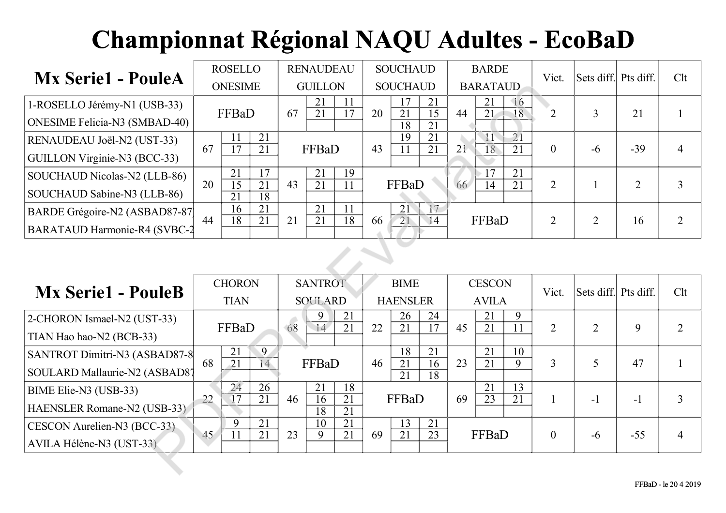| <b>Mx Serie1 - PouleA</b>            |    | <b>ROSELLO</b> |          |    | <b>RENAUDEAU</b> |    |    | <b>SOUCHAUD</b> |          |    | <b>BARDE</b>               | Vict.    | Sets diff. Pts diff. |                | Clt |
|--------------------------------------|----|----------------|----------|----|------------------|----|----|-----------------|----------|----|----------------------------|----------|----------------------|----------------|-----|
|                                      |    | <b>ONESIME</b> |          |    | <b>GUILLON</b>   |    |    | <b>SOUCHAUD</b> |          |    | <b>BARATAUD</b>            |          |                      |                |     |
| 1-ROSELLO Jérémy-N1 (USB-33)         |    | FFBaD          |          | 67 | 21<br>21         |    | 20 | 17<br>21        | 21<br>15 | 44 | 21<br>$\Box$ 6<br>18<br>21 |          |                      | 21             |     |
| ONESIME Felicia-N3 (SMBAD-40)        |    |                |          |    |                  |    |    | 18              | 21       |    |                            |          |                      |                |     |
| RENAUDEAU Joël-N2 (UST-33)           | 67 |                | 21<br>21 |    | FFBaD            |    | 43 | 19              | 21<br>21 | 21 | $\overline{2}1$            |          |                      | $-39$          |     |
| GUILLON Virginie-N3 (BCC-33)         |    |                |          |    |                  |    |    | 11              |          |    | 21<br>18                   | $\theta$ | -6                   |                | 4   |
| SOUCHAUD Nicolas-N2 (LLB-86)         | 20 | 21<br>15       | 17<br>21 | 43 | 21<br>21         | 19 |    | FFBaD           |          |    | 21<br>21                   |          |                      |                |     |
| SOUCHAUD Sabine-N3 (LLB-86)          |    | 21             | 18       |    |                  |    |    |                 |          | 66 | 14                         | 2        |                      | $\overline{2}$ |     |
| BARDE Grégoire-N2 (ASBAD87-87        |    | 16             | 21       |    | 21               |    |    | 21              |          |    |                            |          |                      |                |     |
| <b>BARATAUD Harmonie-R4 (SVBC-2)</b> | 44 | 18             | 21       | 21 | 21               | 18 | 66 | 21              | 14       |    | FFBaD                      |          |                      | 16             |     |

|                                                                      |    | <b>ONESIME</b>                           |                                          |    | <b>GUILLON</b>                   |                                    |    | <b>SOUCHAUD</b>                |                                          |    | <b>BARATAUD</b>               |                                |                  |                      |                |                |
|----------------------------------------------------------------------|----|------------------------------------------|------------------------------------------|----|----------------------------------|------------------------------------|----|--------------------------------|------------------------------------------|----|-------------------------------|--------------------------------|------------------|----------------------|----------------|----------------|
| 1-ROSELLO Jérémy-N1 (USB-33)<br><b>ONESIME Felicia-N3 (SMBAD-40)</b> |    | FFBaD                                    |                                          | 67 | 21<br>21                         | 11<br>$\overline{17}$              | 20 | 17<br>$\overline{21}$          | 21<br>$\overline{15}$                    | 44 | 21<br>$\overline{21}$         | $\sqrt{16}$<br>$\overline{18}$ | $\overline{2}$   | 3                    | 21             | $\mathbf{1}$   |
| RENAUDEAU Joël-N2 (UST-33)<br>GUILLON Virginie-N3 (BCC-33)           | 67 | 11<br>$\overline{17}$                    | 21<br>21                                 |    | FFBaD                            |                                    | 43 | 18<br>19<br>11                 | $\overline{21}$<br>21<br>$\overline{21}$ | 21 | $\overline{11}$<br>18         | $\overline{21}$<br>21          | $\mathbf{0}$     | $-6$                 | $-39$          | $\overline{4}$ |
| SOUCHAUD Nicolas-N2 (LLB-86)<br>SOUCHAUD Sabine-N3 (LLB-86)          | 20 | 21<br>$\overline{15}$<br>$\overline{21}$ | 17<br>$\overline{21}$<br>$\overline{18}$ | 43 | 21<br>$\overline{21}$            | 19<br>11                           |    | FFBaD                          |                                          | 66 | 17<br>$\overline{14}$         | 21<br>21                       | $\overline{2}$   |                      | $\overline{2}$ | $\overline{3}$ |
| BARDE Grégoire-N2 (ASBAD87-87)<br>BARATAUD Harmonie-R4 (SVBC-2       | 44 | 16<br>18                                 | 21<br>21                                 | 21 | $\overline{21}$<br>21            | 11<br>18                           | 66 | $\overline{21}$<br>21          | 17<br>14                                 |    | FFBaD                         |                                | $\overline{2}$   | $\overline{2}$       | 16             | $\overline{2}$ |
|                                                                      |    |                                          |                                          |    |                                  |                                    |    |                                |                                          |    |                               |                                |                  |                      |                |                |
| <b>Mx Serie1 - PouleB</b>                                            |    | <b>CHORON</b><br><b>TIAN</b>             |                                          |    | <b>SANTROT</b><br><b>SOULARD</b> |                                    |    | <b>BIME</b><br><b>HAENSLER</b> |                                          |    | <b>CESCON</b><br><b>AVILA</b> |                                | Vict.            | Sets diff. Pts diff. |                | Clt            |
| 2-CHORON Ismael-N2 (UST-33)<br>TIAN Hao hao-N2 (BCB-33)              |    | FFBaD                                    |                                          | 68 | 9<br>14                          | 21<br>21                           | 22 | 26<br>21                       | 24<br>17                                 | 45 | 21<br>21                      | 9<br>11                        | $\overline{2}$   | $\overline{2}$       | 9              | $\overline{2}$ |
| SANTROT Dimitri-N3 (ASBAD87-8<br>SOULARD Mallaurie-N2 (ASBAD87       | 68 | 21<br>$\overline{21}$                    | 9<br>14                                  |    | FFBaD                            |                                    | 46 | 18<br>21<br>$\overline{21}$    | 21<br>16<br>$\overline{18}$              | 23 | 21<br>21                      | 10<br>9                        | 3                | 5                    | 47             | $\mathbf{1}$   |
| BIME Elie-N3 (USB-33)<br>HAENSLER Romane-N2 (USB-33)                 | 22 | $\overline{24}$<br>$\overline{17}$       | 26<br>21                                 | 46 | 21<br>16<br>$\overline{18}$      | 18<br>$\overline{21}$<br>21        |    | FFBaD                          |                                          | 69 | $\overline{21}$<br>23         | 13<br>21                       | 1                | $-1$                 | $-1$           | $\overline{3}$ |
| CESCON Aurelien-N3 (BCC-33)<br>AVILA Hélène-N3 (UST-33)              | 45 | 9<br>$\overline{11}$                     | $\overline{21}$<br>$\overline{21}$       | 23 | 10<br>9                          | $\overline{21}$<br>$\overline{21}$ | 69 | 13<br>$\overline{21}$          | 21<br>$\overline{23}$                    |    | FFBaD                         |                                | $\boldsymbol{0}$ | $-6$                 | $-55$          | $\overline{4}$ |
|                                                                      |    |                                          |                                          |    |                                  |                                    |    |                                |                                          |    |                               |                                |                  |                      |                |                |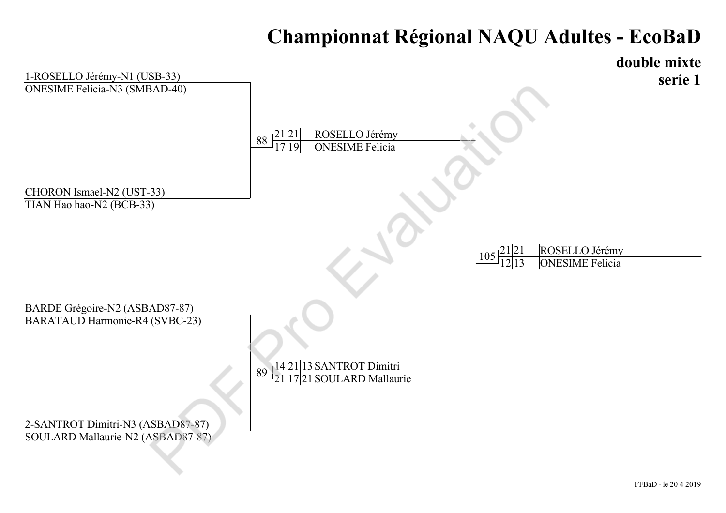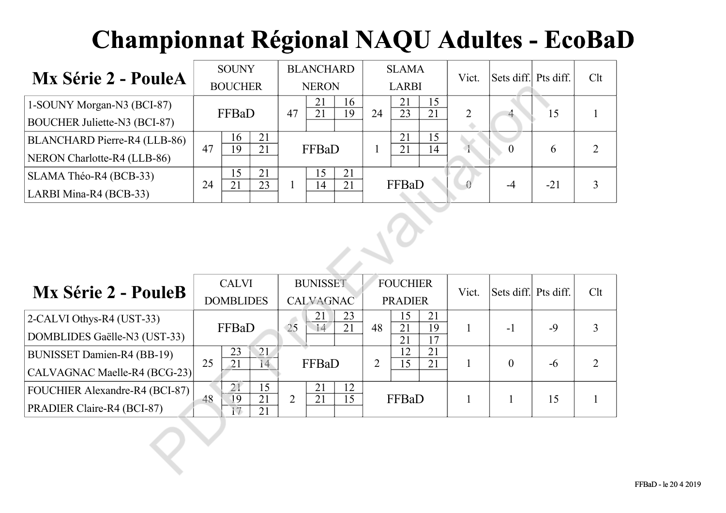| <b>Mx Série 2 - PouleA</b>          |    | <b>SOUNY</b>   |    |    | <b>BLANCHARD</b> |          |    | <b>SLAMA</b> |          | Vict. | Sets diff. Pts diff. |       | Clt |
|-------------------------------------|----|----------------|----|----|------------------|----------|----|--------------|----------|-------|----------------------|-------|-----|
|                                     |    | <b>BOUCHER</b> |    |    | <b>NERON</b>     |          |    | <b>LARBI</b> |          |       |                      |       |     |
| 1-SOUNY Morgan-N3 (BCI-87)          |    |                |    | 47 | 21<br>21         | 16<br>19 | 24 | 21<br>23     | 15<br>21 |       |                      |       |     |
| <b>BOUCHER Juliette-N3 (BCI-87)</b> |    | FFBaD          |    |    |                  |          |    |              |          |       |                      | 15    |     |
| BLANCHARD Pierre-R4 (LLB-86)        | 47 | 21<br>16       |    |    | FFBaD            |          |    | 21           | 15       |       |                      |       |     |
| NERON Charlotte-R4 (LLB-86)         |    | 19             | 21 |    |                  |          |    | 21           | 14       |       |                      | 6     |     |
| SLAMA Théo-R4 (BCB-33)              |    | 15<br>21       |    |    | 15               | 21       |    | FFBaD        |          |       |                      |       |     |
| LARBI Mina-R4 (BCB-33)              | 24 | 21             | 23 |    | 14               | 21       |    |              |          |       | -4                   | $-21$ |     |

|                                                                   |    | <b>BOUCHER</b>                                                                         |                             |                | <b>NERON</b>          |          |                | LARBI                 |                             |                |                  |       |                |
|-------------------------------------------------------------------|----|----------------------------------------------------------------------------------------|-----------------------------|----------------|-----------------------|----------|----------------|-----------------------|-----------------------------|----------------|------------------|-------|----------------|
| 1-SOUNY Morgan-N3 (BCI-87)                                        |    | FFBaD                                                                                  |                             | 47             | 21<br>$\overline{21}$ | 16<br>19 | 24             | 21<br>$\overline{23}$ | 15<br>$\overline{21}$       | $\overline{2}$ |                  | 15    |                |
| <b>BOUCHER Juliette-N3 (BCI-87)</b>                               |    |                                                                                        |                             |                |                       |          |                |                       |                             |                |                  |       |                |
| BLANCHARD Pierre-R4 (LLB-86)                                      | 47 | 16<br>$\overline{19}$                                                                  | 21<br>21                    |                | FFBaD                 |          | $\mathbf{1}$   | 21<br>21              | 15<br>14                    | $\overline{1}$ | $\overline{0}$   | 6     | $\overline{2}$ |
| NERON Charlotte-R4 (LLB-86)                                       |    |                                                                                        |                             |                |                       |          |                |                       |                             |                |                  |       |                |
| SLAMA Théo-R4 (BCB-33)                                            | 24 | 15<br>21                                                                               | 21<br>23                    | 1              | 15<br>14              | 21<br>21 |                | FFBaD                 |                             |                | $-4$             | $-21$ | $\overline{3}$ |
| LARBI Mina-R4 (BCB-33)                                            |    |                                                                                        |                             |                |                       |          |                |                       |                             |                |                  |       |                |
|                                                                   |    | <b>BUNISSET</b><br><b>CALVI</b><br><b>FOUCHIER</b><br>Sets diff.<br>Pts diff.<br>Vict. |                             |                |                       |          |                |                       |                             |                |                  |       |                |
| <b>Mx Série 2 - PouleB</b>                                        |    | <b>DOMBLIDES</b>                                                                       |                             |                | CALVAGNAC             |          |                | <b>PRADIER</b>        |                             |                |                  |       | Clt            |
| 2-CALVI Othys-R4 (UST-33)<br>DOMBLIDES Gaëlle-N3 (UST-33)         |    | FFBaD                                                                                  |                             | 25             | 21<br>14              | 23<br>21 | 48             | 15<br>21<br>21        | 21<br>19<br>$\overline{17}$ | 1              | $-1$             | $-9$  | 3              |
| <b>BUNISSET Damien-R4 (BB-19)</b><br>CALVAGNAC Maelle-R4 (BCG-23) | 25 | 23<br>$\overline{21}$                                                                  | 21<br>14                    |                | FFBaD                 |          | $\overline{2}$ | 12<br>$\overline{15}$ | 21<br>21                    | $\mathbf{1}$   | $\boldsymbol{0}$ | $-6$  | $\overline{2}$ |
| FOUCHIER Alexandre-R4 (BCI-87)<br>PRADIER Claire-R4 (BCI-87)      | 48 | 21<br>$\overline{19}$<br>$\overline{17}$                                               | 15<br>$\overline{21}$<br>21 | $\overline{2}$ | 21<br>21              | 12<br>15 |                | FFBaD                 |                             | 1              | $\mathbf{1}$     | 15    |                |
|                                                                   |    |                                                                                        |                             |                |                       |          |                |                       |                             |                |                  |       |                |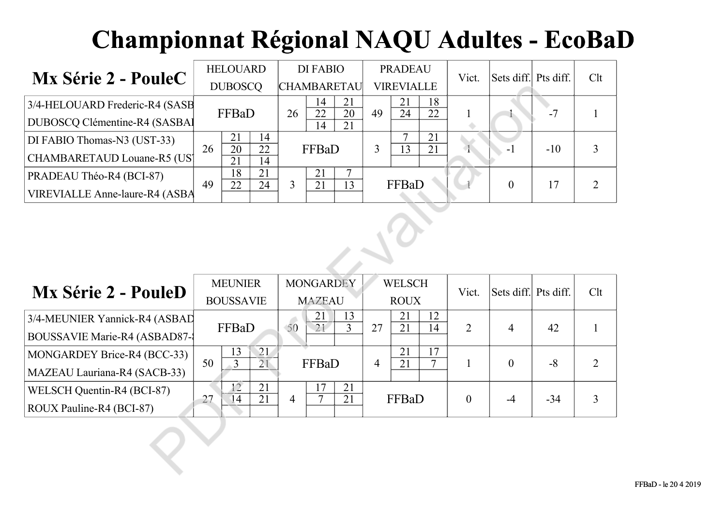|                                      |    | <b>HELOUARD</b> |          |  | DI FABIO           |          |    | <b>PRADEAU</b>    |          | Vict. | Sets diff. Pts diff. |       | Clt |
|--------------------------------------|----|-----------------|----------|--|--------------------|----------|----|-------------------|----------|-------|----------------------|-------|-----|
| <b>Mx Série 2 - PouleC</b>           |    | <b>DUBOSCQ</b>  |          |  | <b>CHAMBARETAU</b> |          |    | <b>VIREVIALLE</b> |          |       |                      |       |     |
| 3/4-HELOUARD Frederic-R4 (SASB       |    | FFBaD<br>26     |          |  | 14<br>22           | 21<br>20 | 49 | 21<br>24          | 18<br>22 |       |                      |       |     |
| <b>DUBOSCQ Clémentine-R4 (SASBAI</b> |    |                 |          |  | 14                 | 21       |    |                   |          |       |                      |       |     |
| DI FABIO Thomas-N3 (UST-33)          |    | 14<br>21        |          |  |                    |          |    | −                 | 21       |       |                      |       |     |
| CHAMBARETAUD Louane-R5 (US)          | 26 | 20<br>21        | 22<br>14 |  | FFBaD              |          |    | 13                | 21       |       | - I                  | $-10$ |     |
| PRADEAU Théo-R4 (BCI-87)             |    | 18              | 21       |  | 21                 |          |    |                   |          |       |                      |       |     |
| VIREVIALLE Anne-laure-R4 (ASBA       | 49 | 22              | 24       |  | 21                 | 13       |    | FFBaD             |          |       | $\Omega$             |       |     |

|                                       |    | <b>DUBOSCQ</b>                                      |                       |                | <b>CHAMBARETAU</b>    |                                   |                | <b>VIREVIALLE</b>     |                       |                |                  |           |                |
|---------------------------------------|----|-----------------------------------------------------|-----------------------|----------------|-----------------------|-----------------------------------|----------------|-----------------------|-----------------------|----------------|------------------|-----------|----------------|
| 3/4-HELOUARD Frederic-R4 (SASB        |    | FFBaD                                               |                       | 26             | 14<br>$\overline{22}$ | 21<br>$\overline{20}$             | 49             | 21<br>$\overline{24}$ | 18<br>$\overline{22}$ |                |                  | $-7$      |                |
| DUBOSCQ Clémentine-R4 (SASBAI         |    |                                                     |                       |                | $\overline{14}$       | $\overline{21}$                   |                |                       |                       |                |                  |           |                |
| DI FABIO Thomas-N3 (UST-33)           | 26 | 21<br>20                                            | 14<br>$\overline{22}$ |                | FFBaD                 |                                   | 3              | 7<br>$\overline{13}$  | 21<br>21              |                | $-1$             | $-10$     | 3              |
| CHAMBARETAUD Louane-R5 (US)           |    | $\overline{21}$                                     | 14                    |                |                       |                                   |                |                       |                       |                |                  |           |                |
| PRADEAU Théo-R4 (BCI-87)              | 49 | $\overline{18}$<br>22                               | $\overline{21}$<br>24 | $\overline{3}$ | 21<br>21              | $\overline{7}$<br>$\overline{13}$ |                | FFBaD                 |                       |                | $\theta$         | 17        | $\overline{2}$ |
| <b>VIREVIALLE Anne-laure-R4 (ASBA</b> |    |                                                     |                       |                |                       |                                   |                |                       |                       |                |                  |           |                |
|                                       |    | <b>MONGARDEY</b><br><b>MEUNIER</b><br><b>WELSCH</b> |                       |                |                       |                                   |                |                       |                       |                |                  |           |                |
| <b>Mx Série 2 - PouleD</b>            |    | <b>BOUSSAVIE</b>                                    |                       |                | <b>MAZEAU</b>         |                                   |                | <b>ROUX</b>           |                       | Vict.          | Sets diff.       | Pts diff. | Clt            |
| 3/4-MEUNIER Yannick-R4 (ASBAD         |    | FFBaD                                               |                       | 50             | 21<br>$\overline{21}$ | 13<br>$\overline{3}$              | 27             | 21<br>21              | 12<br>14              | $\overline{2}$ | $\overline{4}$   | 42        |                |
| <b>BOUSSAVIE Marie-R4 (ASBAD87-)</b>  |    |                                                     |                       |                |                       |                                   |                |                       |                       |                |                  |           |                |
| MONGARDEY Brice-R4 (BCC-33)           | 50 | 13<br>$\overline{3}$                                | 21<br>$\overline{21}$ |                | FFBaD                 |                                   | $\overline{4}$ | 21<br>21              | 17<br>$\overline{7}$  | $\mathbf{1}$   | $\boldsymbol{0}$ | $-8$      | $\overline{2}$ |
| MAZEAU Lauriana-R4 (SACB-33)          |    |                                                     |                       |                |                       |                                   |                |                       |                       |                |                  |           |                |
| WELSCH Quentin-R4 (BCI-87)            | 27 | $\overline{12}$<br>14                               | 21<br>21              | $\overline{4}$ | 17<br>7               | 21<br>21                          |                | FFBaD                 |                       | $\mathbf{0}$   | $-4$             | $-34$     | 3              |
| ROUX Pauline-R4 (BCI-87)              |    |                                                     |                       |                |                       |                                   |                |                       |                       |                |                  |           |                |
|                                       |    |                                                     |                       |                |                       |                                   |                |                       |                       |                |                  |           |                |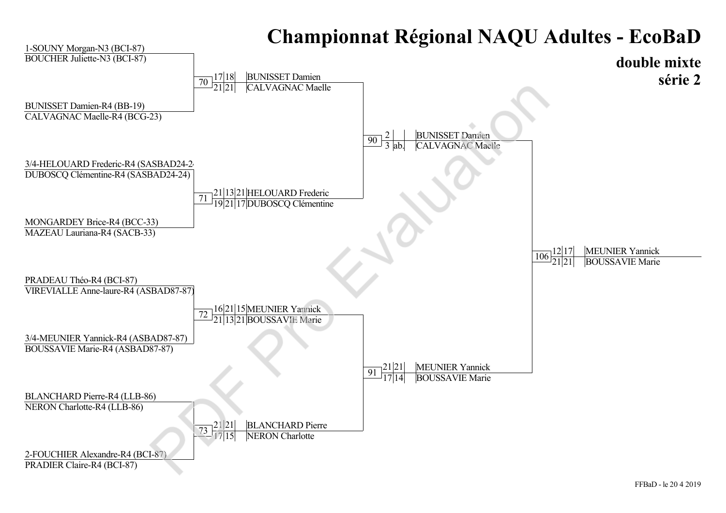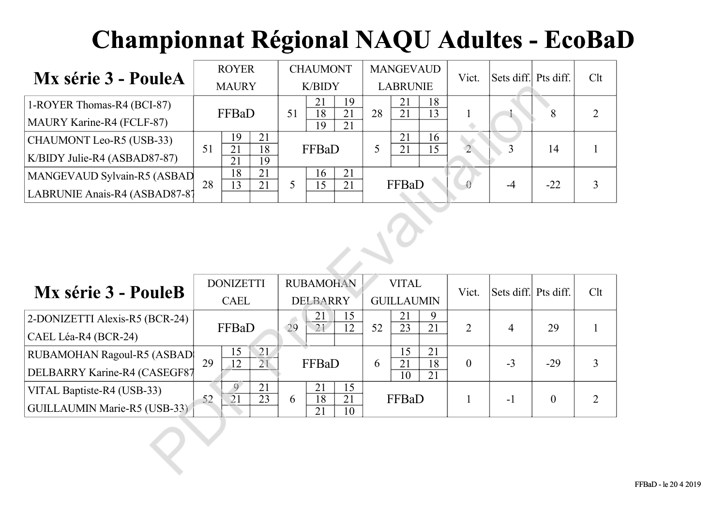| Mx série 3 - PouleA           |    | <b>ROYER</b> |          |  | <b>CHAUMONT</b> |          |    | <b>MANGEVAUD</b> |    | Vict.        | Sets diff. Pts diff. |       | Clt |
|-------------------------------|----|--------------|----------|--|-----------------|----------|----|------------------|----|--------------|----------------------|-------|-----|
|                               |    | <b>MAURY</b> |          |  | <b>K/BIDY</b>   |          |    | <b>LABRUNIE</b>  |    |              |                      |       |     |
| 1-ROYER Thomas-R4 (BCI-87)    |    | FFBaD<br>51  |          |  |                 | 19       |    | 21               | 18 |              |                      |       |     |
| MAURY Karine-R4 (FCLF-87)     |    |              |          |  | 18<br>19        | 21<br>21 | 28 | 21               | 13 |              |                      |       |     |
| CHAUMONT Leo-R5 (USB-33)      |    | 19           | 21       |  |                 |          |    | 21               | 16 |              |                      |       |     |
| K/BIDY Julie-R4 (ASBAD87-87)  | 51 | 21<br>21     | 18<br>19 |  | FFBaD           |          |    | 21               | 15 | $\mathbf{2}$ |                      | 14    |     |
| MANGEVAUD Sylvain-R5 (ASBAD   |    | 18           | 21       |  | 16              | 21       |    |                  |    |              |                      |       |     |
| LABRUNIE Anais-R4 (ASBAD87-8) | 28 | 13           | 21       |  | 5               | 21       |    | FFBaD            |    |              | -4                   | $-22$ |     |

|                                     | <b>MAURY</b><br><b>K/BIDY</b> |                                                                                       |                       |    |                       |                       |    | <b>LABRUNIE</b>       |                       |                  |                |                  |                |
|-------------------------------------|-------------------------------|---------------------------------------------------------------------------------------|-----------------------|----|-----------------------|-----------------------|----|-----------------------|-----------------------|------------------|----------------|------------------|----------------|
| 1-ROYER Thomas-R4 (BCI-87)          |                               | FFBaD                                                                                 |                       | 51 | 21<br>$\overline{18}$ | 19<br>$\overline{21}$ | 28 | 21<br>$\overline{21}$ | 18<br>13              | 1                |                | 8                | $\overline{2}$ |
| MAURY Karine-R4 (FCLF-87)           |                               |                                                                                       |                       |    | $\overline{19}$       | $\overline{21}$       |    |                       |                       |                  |                |                  |                |
| CHAUMONT Leo-R5 (USB-33)            | 51                            | 19<br>$\overline{21}$                                                                 | 21<br>18              |    | FFBaD                 |                       | 5  | 21<br>$\overline{21}$ | 16<br>$\overline{15}$ | $\overline{2}$   | 3              | 14               |                |
| K/BIDY Julie-R4 (ASBAD87-87)        |                               | 21                                                                                    | 19                    |    |                       |                       |    |                       |                       |                  |                |                  |                |
| MANGEVAUD Sylvain-R5 (ASBAD         | 28                            | $\overline{18}$<br>13                                                                 | $\overline{21}$<br>21 | 5  | 16<br>$\overline{15}$ | 21<br>21              |    | FFBaD                 |                       |                  | $-4$           | $-22$            | 3              |
| LABRUNIE Anais-R4 (ASBAD87-87       |                               |                                                                                       |                       |    |                       |                       |    |                       |                       |                  |                |                  |                |
|                                     |                               | <b>RUBAMOHAN</b><br><b>DONIZETTI</b><br><b>VITAL</b><br>Sets diff. Pts diff.<br>Vict. |                       |    |                       |                       |    |                       |                       |                  |                |                  |                |
| Mx série 3 - PouleB                 |                               |                                                                                       |                       |    |                       |                       |    |                       |                       |                  |                |                  | Clt            |
|                                     |                               | CAEL                                                                                  |                       |    | <b>DELBARRY</b>       |                       |    | <b>GUILLAUMIN</b>     |                       |                  |                |                  |                |
| 2-DONIZETTI Alexis-R5 (BCR-24)      |                               | FFBaD                                                                                 |                       | 29 | 21<br>21              | 15<br>12              | 52 | 21<br>$\overline{23}$ | 9<br>21               | $\overline{2}$   | $\overline{4}$ | 29               |                |
| CAEL Léa-R4 (BCR-24)                |                               |                                                                                       |                       |    |                       |                       |    |                       |                       |                  |                |                  |                |
| <b>RUBAMOHAN Ragoul-R5 (ASBAD</b>   | 29                            | 15<br>$\overline{12}$                                                                 | 21<br>$\overline{21}$ |    | FFBaD                 |                       | 6  | 15<br>21              | 21<br>18              | $\boldsymbol{0}$ | $-3$           | $-29$            | 3              |
| DELBARRY Karine-R4 (CASEGF87        |                               |                                                                                       |                       |    |                       |                       |    | $\overline{10}$       | $\overline{21}$       |                  |                |                  |                |
| VITAL Baptiste-R4 (USB-33)          | 52                            | $\overline{9}$<br>21                                                                  | 21<br>23              | 6  | 21<br>18              | 15<br>21              |    | FFBaD                 |                       | 1                | $-1$           | $\boldsymbol{0}$ | $\overline{2}$ |
| <b>GUILLAUMIN Marie-R5 (USB-33)</b> |                               |                                                                                       |                       |    | 21                    | 10                    |    |                       |                       |                  |                |                  |                |
|                                     |                               |                                                                                       |                       |    |                       |                       |    |                       |                       |                  |                |                  |                |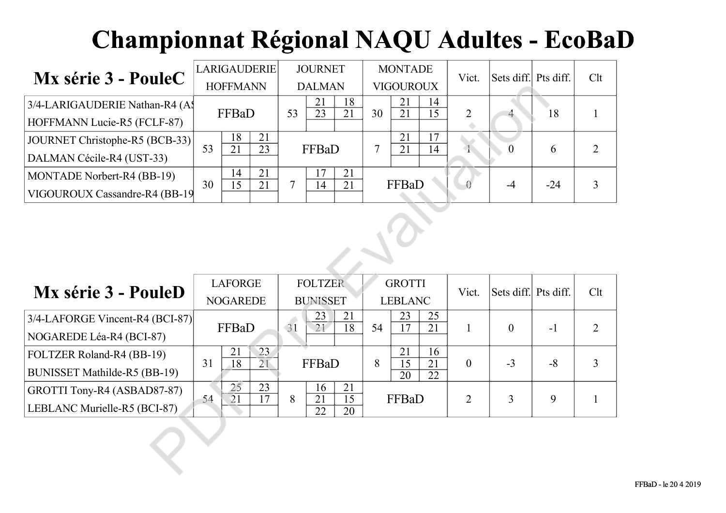| Mx série 3 - PouleC             |    |                 | <b>LARIGAUDERIE</b> |  | <b>JOURNET</b> |          |    | <b>MONTADE</b>   |          | Vict. | Sets diff. Pts diff. |       | Clt |
|---------------------------------|----|-----------------|---------------------|--|----------------|----------|----|------------------|----------|-------|----------------------|-------|-----|
|                                 |    | <b>HOFFMANN</b> |                     |  | <b>DALMAN</b>  |          |    | <b>VIGOUROUX</b> |          |       |                      |       |     |
| 3/4-LARIGAUDERIE Nathan-R4 (A\$ |    | FFBaD<br>53     |                     |  | 21<br>23       | 18<br>21 | 30 | 21<br>21         | 14<br>15 |       |                      | 18    |     |
| HOFFMANN Lucie-R5 (FCLF-87)     |    |                 |                     |  |                |          |    |                  |          |       |                      |       |     |
| JOURNET Christophe-R5 (BCB-33)  |    | 18              | 21                  |  |                |          |    | 21               | 17       |       |                      |       |     |
| DALMAN Cécile-R4 (UST-33)       | 53 | 21              | 23                  |  | FFBaD          |          |    | 21               | 14       |       |                      |       |     |
| MONTADE Norbert-R4 (BB-19)      |    | 14              | 21                  |  | 7              | 21       |    |                  |          |       |                      |       |     |
| VIGOUROUX Cassandre-R4 (BB-19)  | 30 | 15              | 21                  |  | 14             | 21       |    | FFBaD            |          |       | -4                   | $-24$ |     |

| TITTI DATTA A                   | <b>HOFFMANN</b>                                      | <b>DALMAN</b>                                                                         | <b>VIGOUROUX</b>                                     |                  |          |       |                |  |  |  |  |
|---------------------------------|------------------------------------------------------|---------------------------------------------------------------------------------------|------------------------------------------------------|------------------|----------|-------|----------------|--|--|--|--|
| 3/4-LARIGAUDERIE Nathan-R4 (A)  | FFBaD                                                | 21<br>18<br>$\overline{23}$<br>53<br>21                                               | 21<br>14<br>$\overline{21}$<br>$\overline{15}$<br>30 | $\overline{2}$   |          | 18    |                |  |  |  |  |
| HOFFMANN Lucie-R5 (FCLF-87)     |                                                      |                                                                                       |                                                      |                  |          |       |                |  |  |  |  |
| JOURNET Christophe-R5 (BCB-33)  | 18<br>21<br>53<br>$\overline{21}$<br>$\overline{23}$ | FFBaD                                                                                 | 21<br>17<br>$\tau$<br>21<br>14                       | $\overline{1}$   | $\theta$ | 6     | $\overline{2}$ |  |  |  |  |
| DALMAN Cécile-R4 (UST-33)       |                                                      |                                                                                       |                                                      |                  |          |       |                |  |  |  |  |
| MONTADE Norbert-R4 (BB-19)      | 21<br>14<br>30<br>15<br>21                           | 21<br>17<br>14<br>$\tau$<br>21                                                        | FFBaD                                                |                  | $-4$     | $-24$ | 3              |  |  |  |  |
| VIGOUROUX Cassandre-R4 (BB-19)  |                                                      |                                                                                       |                                                      |                  |          |       |                |  |  |  |  |
|                                 |                                                      | <b>FOLTZER</b><br><b>LAFORGE</b><br><b>GROTTI</b><br>Sets diff.<br>Pts diff.<br>Vict. |                                                      |                  |          |       |                |  |  |  |  |
| Mx série 3 - PouleD             |                                                      |                                                                                       |                                                      |                  |          |       | Clt            |  |  |  |  |
|                                 | <b>NOGAREDE</b>                                      | <b>BUNISSET</b>                                                                       | <b>LEBLANC</b>                                       |                  |          |       |                |  |  |  |  |
| 3/4-LAFORGE Vincent-R4 (BCI-87) | FFBaD                                                | 23<br>21<br>31<br>21<br>18                                                            | 23<br>25<br>17<br>21<br>54                           | $\mathbf{1}$     | $\theta$ | $-1$  | $\overline{2}$ |  |  |  |  |
| NOGAREDE Léa-R4 (BCI-87)        |                                                      |                                                                                       |                                                      |                  |          |       |                |  |  |  |  |
| FOLTZER Roland-R4 (BB-19)       | 23<br>21<br>31<br>$\overline{18}$<br>$\overline{21}$ | FFBaD                                                                                 | 21<br>16<br>$\overline{15}$<br>8<br>$\overline{21}$  | $\boldsymbol{0}$ | $-3$     | $-8$  | $\overline{3}$ |  |  |  |  |
| BUNISSET Mathilde-R5 (BB-19)    |                                                      |                                                                                       | $\overline{20}$<br>$\overline{22}$                   |                  |          |       |                |  |  |  |  |
| GROTTI Tony-R4 (ASBAD87-87)     | 25<br>23<br>54<br>21<br>17                           | 21<br>16<br>$\overline{21}$<br>$\overline{15}$<br>8                                   | FFBaD                                                | $\overline{2}$   | 3        | 9     |                |  |  |  |  |
| LEBLANC Murielle-R5 (BCI-87)    |                                                      | 22<br>20                                                                              |                                                      |                  |          |       |                |  |  |  |  |
|                                 |                                                      |                                                                                       |                                                      |                  |          |       |                |  |  |  |  |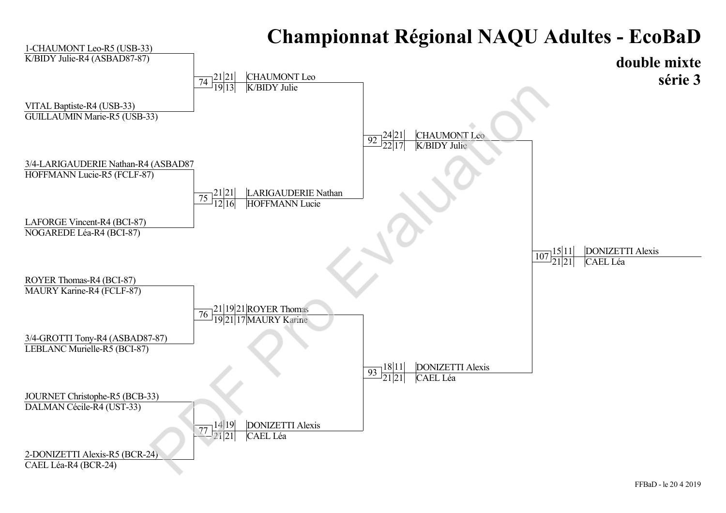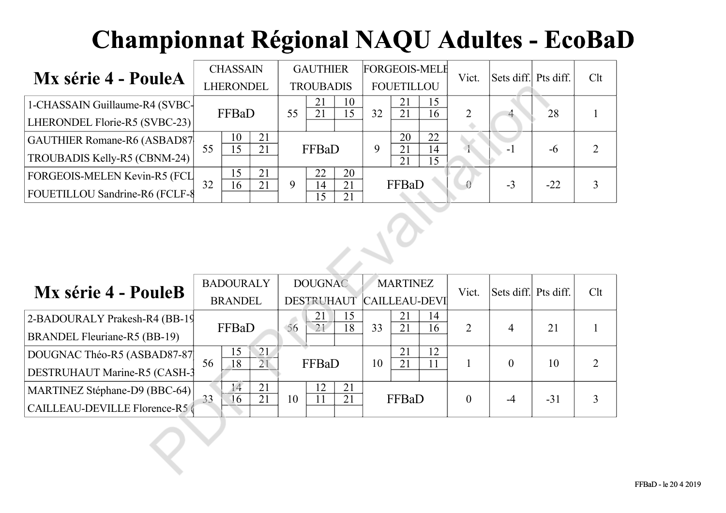|                                |    | <b>CHASSAIN</b> |    |   | <b>GAUTHIER</b>  |          |    | <b>FORGEOIS-MELE</b> |          | Vict. | Sets diff. Pts diff. |       | Clt |
|--------------------------------|----|-----------------|----|---|------------------|----------|----|----------------------|----------|-------|----------------------|-------|-----|
| <b>Mx série 4 - PouleA</b>     |    | LHERONDEL       |    |   | <b>TROUBADIS</b> |          |    | <b>FOUETILLOU</b>    |          |       |                      |       |     |
| 1-CHASSAIN Guillaume-R4 (SVBC- |    | FFBaD<br>55     |    |   |                  | 10       | 32 | 21                   | 15       |       |                      | 28    |     |
| LHERONDEL Florie-R5 (SVBC-23)  |    |                 |    |   |                  | 5        |    | 21                   | 16       |       |                      |       |     |
| GAUTHIER Romane-R6 (ASBAD87    |    | 10              | 21 |   |                  |          |    | 20                   | 22       |       |                      |       |     |
| TROUBADIS Kelly-R5 (CBNM-24)   | 55 | 15              | 21 |   | FFBaD            |          | 9  | 21<br>21             | 14<br>15 |       | - 1                  | -6    |     |
| FORGEOIS-MELEN Kevin-R5 (FCL   |    | 15              | 21 |   | 22               | 20       |    |                      |          |       |                      |       |     |
| FOUETILLOU Sandrine-R6 (FCLF-8 | 32 | 16              | 21 | 9 | 14<br>5          | 21<br>21 |    | FFBaD                |          |       | $-3$                 | $-22$ |     |

|                                    | LHERONDEL                   |                                                                               |    | <b>TROUBADIS</b>      |                       |    | <b>FOUETILLOU</b>     |          |                  |                |       |                |
|------------------------------------|-----------------------------|-------------------------------------------------------------------------------|----|-----------------------|-----------------------|----|-----------------------|----------|------------------|----------------|-------|----------------|
| 1-CHASSAIN Guillaume-R4 (SVBC-     | FFBaD                       |                                                                               | 55 | 21<br>$\overline{21}$ | 10<br>$\overline{15}$ | 32 | 21<br>$\overline{21}$ | 15<br>16 | $\overline{2}$   |                | 28    |                |
| LHERONDEL Florie-R5 (SVBC-23)      |                             |                                                                               |    |                       |                       |    |                       |          |                  |                |       |                |
| <b>GAUTHIER Romane-R6 (ASBAD87</b> | 10<br>$\overline{15}$<br>55 | 21<br>$\overline{21}$                                                         |    | FFBaD                 |                       | 9  | 20<br>21              | 22<br>14 | $\overline{1}$   | $-1$           | $-6$  | $\overline{2}$ |
| TROUBADIS Kelly-R5 (CBNM-24)       |                             |                                                                               |    |                       |                       |    | $\overline{21}$       | 15       |                  |                |       |                |
| FORGEOIS-MELEN Kevin-R5 (FCL       | 15<br>32<br>16              | 21<br>21                                                                      | 9  | 22<br>14              | 20<br>21              |    | FFBaD                 |          |                  | $-3$           | $-22$ | 3              |
| FOUETILLOU Sandrine-R6 (FCLF-8     |                             |                                                                               |    | $\overline{15}$       | 21                    |    |                       |          |                  |                |       |                |
|                                    |                             | <b>DOUGNAC</b><br><b>BADOURALY</b><br><b>MARTINEZ</b><br>Sets diff. Pts diff. |    |                       |                       |    |                       |          |                  |                |       |                |
| Mx série 4 - PouleB                |                             |                                                                               |    |                       |                       |    |                       |          | Vict.            |                |       | Clt            |
|                                    | <b>BRANDEL</b>              |                                                                               |    | DESTRUHAUT            |                       |    | <b>CAILLEAU-DEVI</b>  |          |                  |                |       |                |
| 2-BADOURALY Prakesh-R4 (BB-19      | FFBaD                       |                                                                               | 56 | 21<br>$\overline{21}$ | 15<br>18              | 33 | 21<br>21              | 14<br>16 | $\overline{2}$   | $\overline{4}$ | 21    |                |
| BRANDEL Fleuriane-R5 (BB-19)       |                             |                                                                               |    |                       |                       |    |                       |          |                  |                |       |                |
| DOUGNAC Théo-R5 (ASBAD87-87        | 15<br>$\overline{18}$<br>56 | 21<br>$\overline{21}$                                                         |    | FFBaD                 |                       | 10 | 21<br>21              | 12<br>11 | $\mathbf{1}$     | $\mathbf{0}$   | 10    | $\overline{2}$ |
| DESTRUHAUT Marine-R5 (CASH-3       |                             |                                                                               |    |                       |                       |    |                       |          |                  |                |       |                |
| MARTINEZ Stéphane-D9 (BBC-64)      | $14$<br>33<br>16            | 21<br>21                                                                      | 10 | 12<br>11              | 21<br>21              |    | FFBaD                 |          | $\boldsymbol{0}$ | $-4$           | $-31$ | 3              |
| CAILLEAU-DEVILLE Florence-R5       |                             |                                                                               |    |                       |                       |    |                       |          |                  |                |       |                |
|                                    |                             |                                                                               |    |                       |                       |    |                       |          |                  |                |       |                |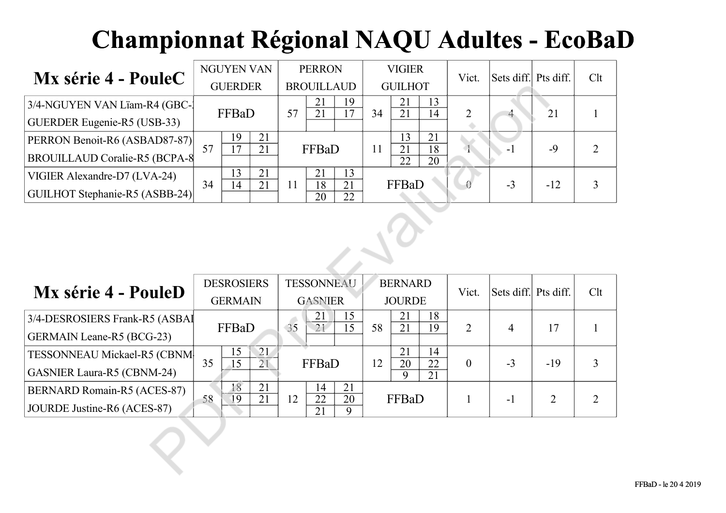| Mx série 4 - PouleC                  | <b>NGUYEN VAN</b> |       |    | <b>PERRON</b>     |                      |    | <b>VIGIER</b>  |          |          | Vict. | Sets diff. Pts diff. |       | Clt |
|--------------------------------------|-------------------|-------|----|-------------------|----------------------|----|----------------|----------|----------|-------|----------------------|-------|-----|
|                                      | <b>GUERDER</b>    |       |    | <b>BROUILLAUD</b> |                      |    | <b>GUILHOT</b> |          |          |       |                      |       |     |
| 3/4-NGUYEN VAN Lïam-R4 (GBC-1        |                   | FFBaD |    |                   | 21                   |    |                | 21       | 13       |       |                      |       |     |
| <b>GUERDER Eugenie-R5 (USB-33)</b>   |                   |       |    | 57                | 21                   |    | 34             | 21       | 14       |       |                      | 21    |     |
| PERRON Benoit-R6 (ASBAD87-87)        |                   | 19    | 21 |                   |                      |    |                | 13       | 21       |       |                      |       |     |
| <b>BROUILLAUD Coralie-R5 (BCPA-8</b> | 57                | 17    | 21 | FFBaD             |                      |    | 11             | 21<br>22 | 18<br>20 |       | - 1                  | $-9$  |     |
| VIGIER Alexandre-D7 (LVA-24)         |                   | 13    | 21 |                   | 21                   | 13 |                |          |          |       |                      |       |     |
| GUILHOT Stephanie-R5 (ASBB-24)       | 34                | 14    | 21 | 11                | 21<br>18<br>22<br>20 |    | FFBaD          |          |          |       | $-3$                 | $-12$ |     |

|                                      | <b>GUERDER</b>                                       | <b>BROUILLAUD</b>                                                 | <b>GUILHOT</b>                                       |                  |                      |                |                |  |  |  |  |  |  |
|--------------------------------------|------------------------------------------------------|-------------------------------------------------------------------|------------------------------------------------------|------------------|----------------------|----------------|----------------|--|--|--|--|--|--|
| 3/4-NGUYEN VAN Lïam-R4 (GBC-)        | FFBaD                                                | 21<br>19<br>$\overline{21}$<br>17<br>57                           | 21<br>13<br>$\overline{21}$<br>34<br>14              | $\overline{2}$   |                      | 21             |                |  |  |  |  |  |  |
| GUERDER Eugenie-R5 (USB-33)          |                                                      |                                                                   |                                                      |                  |                      |                |                |  |  |  |  |  |  |
| PERRON Benoit-R6 (ASBAD87-87)        | 19<br>21<br>$\overline{17}$<br>57<br>$\overline{21}$ | FFBaD                                                             | 21<br>13<br>$\overline{21}$<br>$\overline{18}$<br>11 | $\overline{1}$   | $-1$                 | $-9$           | $\overline{2}$ |  |  |  |  |  |  |
| <b>BROUILLAUD Coralie-R5 (BCPA-8</b> |                                                      |                                                                   | 22<br>20                                             |                  |                      |                |                |  |  |  |  |  |  |
| VIGIER Alexandre-D7 (LVA-24)         | 13<br>21                                             | 13<br>21                                                          |                                                      |                  |                      |                |                |  |  |  |  |  |  |
| GUILHOT Stephanie-R5 (ASBB-24)       | 34<br>14<br>21                                       | $\overline{18}$<br>21<br>11<br>$\overline{20}$<br>$\overline{22}$ | FFBaD                                                |                  | $-3$                 | $-12$          | 3              |  |  |  |  |  |  |
|                                      |                                                      |                                                                   |                                                      |                  |                      |                |                |  |  |  |  |  |  |
|                                      | <b>DESROSIERS</b>                                    | <b>TESSONNEAU</b>                                                 | <b>BERNARD</b>                                       | Vict.            | Sets diff. Pts diff. |                | Clt            |  |  |  |  |  |  |
| Mx série 4 - PouleD                  | <b>GERMAIN</b>                                       | <b>GASNIER</b>                                                    | <b>JOURDE</b>                                        |                  |                      |                |                |  |  |  |  |  |  |
| 3/4-DESROSIERS Frank-R5 (ASBAI       |                                                      | 21<br>15<br>35                                                    | 21<br>18                                             |                  |                      |                |                |  |  |  |  |  |  |
| <b>GERMAIN Leane-R5 (BCG-23)</b>     | FFBaD                                                | 21<br>15                                                          | 21<br>58<br>19                                       | $\overline{2}$   | $\overline{4}$       | 17             |                |  |  |  |  |  |  |
| TESSONNEAU Mickael-R5 (CBNM          | 21<br>15<br>35                                       |                                                                   | 21<br>14                                             |                  |                      |                |                |  |  |  |  |  |  |
| <b>GASNIER Laura-R5 (CBNM-24)</b>    | $\overline{15}$<br>$\overline{21}$                   | FFBaD                                                             | 12<br>20<br>22<br>9<br>$\overline{21}$               | $\boldsymbol{0}$ | $-3$                 | $-19$          | 3              |  |  |  |  |  |  |
| BERNARD Romain-R5 (ACES-87)          | 18<br>21<br>$\overline{21}$<br>58<br>19              | 21<br>14<br>$\overline{22}$<br>12<br>20                           | FFBaD                                                | $\mathbf{1}$     | $-1$                 | $\overline{2}$ | $\overline{2}$ |  |  |  |  |  |  |
| JOURDE Justine-R6 (ACES-87)          |                                                      | 21<br>9                                                           |                                                      |                  |                      |                |                |  |  |  |  |  |  |
|                                      |                                                      |                                                                   |                                                      |                  |                      |                |                |  |  |  |  |  |  |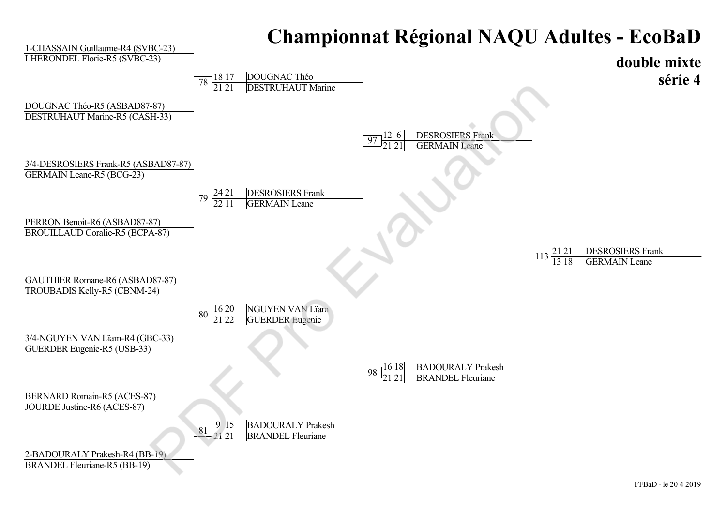#### **double mixte série 4** 2-BADOURALY Prakesh-R4 (BB-19) BRANDEL Fleuriane-R5 (BB-19) 1-CHASSAIN Guillaume-R4 (SVBC-23) LHERONDEL Florie-R5 (SVBC-23) 3/4-NGUYEN VAN Lïam-R4 (GBC-33) GUERDER Eugenie-R5 (USB-33) 3/4-DESROSIERS Frank-R5 (ASBAD87-87) GERMAIN Leane-R5 (BCG-23) BERNARD Romain-R5 (ACES-87) JOURDE Justine-R6 (ACES-87) PERRON Benoit-R6 (ASBAD87-87) BROUILLAUD Coralie-R5 (BCPA-87) DOUGNAC Théo-R5 (ASBAD87-87) DESTRUHAUT Marine-R5 (CASH-33) GAUTHIER Romane-R6 (ASBAD87-87) TROUBADIS Kelly-R5 (CBNM-24)  $\frac{21|21}{113|18}$ 13 18 DESROSIERS Frank **GERMAIN** Leane 12 6 21 21 DESROSIERS Frank **GERMAIN** Leane  $\frac{18}{121}$ 21|21 DOUGNAC Théo DESTRUHAUT Marine  $\frac{24|21}{22|11}$ 22 11 DESROSIERS Frank GERMAIN Leane  $\frac{98}{21}\frac{16}{21}$ BADOURALY Prakesh BRANDEL Fleuriane 80 21 22 NGUYEN VAN Lïam GUERDER Eugenie  $81 \frac{9}{21} \frac{15}{21}$ 21 21 BADOURALY Prakesh **BRANDEL Fleuriane**  $\frac{87}{21}$ <br>
BAD87-87)<br>
BAD87-87)<br>
PD 24121 DESROSHERS Frank<br>
PD 24121 DESROSHERS Frank<br>
PD 22111 GERMAIN Leans<br>
PD 22111 GERMAIN Leans<br>
PD 32121 GUERDER Jugenie<br>
PD 361 2122 GUERDER Jugenie<br>
PD 361 2121 DRANDEL Fleuriane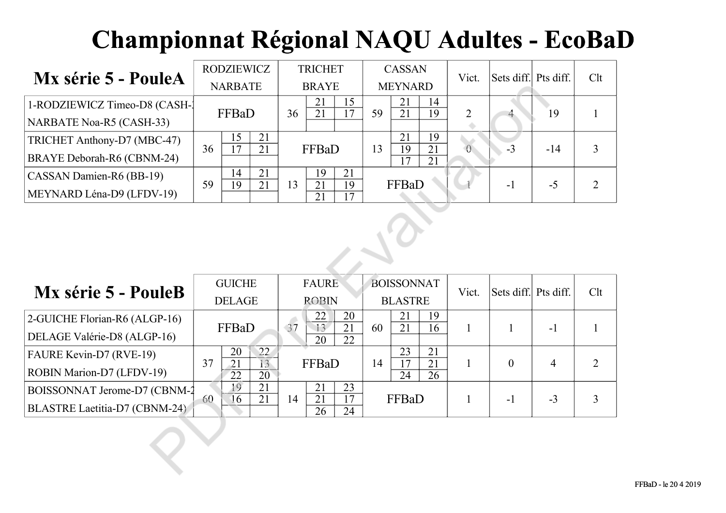| Mx série 5 - PouleA             |                | <b>RODZIEWICZ</b>   |    |              | <b>TRICHET</b> |          |                | <b>CASSAN</b>              |          |                | Sets diff. Pts diff. |       | Clt |
|---------------------------------|----------------|---------------------|----|--------------|----------------|----------|----------------|----------------------------|----------|----------------|----------------------|-------|-----|
|                                 | <b>NARBATE</b> |                     |    | <b>BRAYE</b> |                |          | <b>MEYNARD</b> |                            |          | Vict.          |                      |       |     |
| 1-RODZIEWICZ Timeo-D8 (CASH-1)  |                | FFBaD               |    |              | 21<br>21       | 15       | 59             | 21<br>21                   | 14<br>19 | 2              |                      | 19    |     |
| <b>NARBATE Noa-R5 (CASH-33)</b> |                |                     |    |              |                |          |                |                            |          |                |                      |       |     |
| TRICHET Anthony-D7 (MBC-47)     | 36             | 15<br>$\mathcal{L}$ | 21 | FFBaD        |                |          |                | 21                         | 19       |                |                      |       |     |
| BRAYE Deborah-R6 (CBNM-24)      |                |                     | 21 |              |                |          |                | 13<br>19<br>21<br>17<br>21 |          | $\overline{0}$ | $-3$                 | $-14$ |     |
| CASSAN Damien-R6 (BB-19)        |                | 14                  | 21 |              | 19             | 21       |                |                            |          |                |                      |       |     |
| MEYNARD Léna-D9 (LFDV-19)       | 59             | 19                  | 21 | 13           | 21<br>21       | 19<br>17 |                | FFBaD                      |          |                | $-1$                 | $-5$  |     |

|                                 | <b>NARBATE</b>                                       | <b>BRAYE</b>                                         | <b>MEYNARD</b>                                       |                |                      |                |                |  |  |  |  |  |  |
|---------------------------------|------------------------------------------------------|------------------------------------------------------|------------------------------------------------------|----------------|----------------------|----------------|----------------|--|--|--|--|--|--|
| 1-RODZIEWICZ Timeo-D8 (CASH-)   | FFBaD                                                | 21<br>15<br>$\overline{21}$<br>$\overline{17}$<br>36 | 21<br>14<br>$\overline{21}$<br>$\overline{19}$<br>59 | $\overline{2}$ |                      | 19             |                |  |  |  |  |  |  |
| <b>NARBATE Noa-R5 (CASH-33)</b> |                                                      |                                                      |                                                      |                |                      |                |                |  |  |  |  |  |  |
| TRICHET Anthony-D7 (MBC-47)     | 15<br>21<br>$\overline{17}$<br>$\overline{21}$<br>36 | FFBaD                                                | 21<br>19<br>$\overline{19}$<br>$\overline{21}$<br>13 | $\overline{0}$ | $-3$                 | $-14$          | 3              |  |  |  |  |  |  |
| BRAYE Deborah-R6 (CBNM-24)      |                                                      |                                                      | 17<br>$\overline{21}$                                |                |                      |                |                |  |  |  |  |  |  |
| CASSAN Damien-R6 (BB-19)        | 21<br>14<br>59<br>19<br>21                           | 21<br>19<br>$\overline{21}$<br>19<br>13              | FFBaD                                                |                | $-1$                 | $-5$           | $\overline{2}$ |  |  |  |  |  |  |
| MEYNARD Léna-D9 (LFDV-19)       |                                                      | $\overline{21}$<br>17                                |                                                      |                |                      |                |                |  |  |  |  |  |  |
|                                 |                                                      |                                                      |                                                      |                |                      |                |                |  |  |  |  |  |  |
| Mx série 5 - PouleB             | <b>GUICHE</b>                                        | <b>FAURE</b>                                         | <b>BOISSONNAT</b>                                    | Vict.          | Sets diff. Pts diff. |                | Clt            |  |  |  |  |  |  |
|                                 | <b>DELAGE</b>                                        | <b>ROBIN</b>                                         | <b>BLASTRE</b>                                       |                |                      |                |                |  |  |  |  |  |  |
| 2-GUICHE Florian-R6 (ALGP-16)   | FFBaD                                                | 22<br>20<br>37<br>13<br>21                           | 21<br>19<br>21<br>16<br>60                           | $\mathbf{1}$   | $\mathbf{1}$         | $-1$           |                |  |  |  |  |  |  |
| DELAGE Valérie-D8 (ALGP-16)     |                                                      | $\overline{20}$<br>22                                |                                                      |                |                      |                |                |  |  |  |  |  |  |
| FAURE Kevin-D7 (RVE-19)         | 20<br>22 <sub>2</sub><br>37<br>$\overline{21}$<br>13 | FFBaD                                                | 21<br>23<br>17<br>14<br>21                           | $\mathbf{1}$   | $\mathbf{0}$         | $\overline{4}$ | $\overline{2}$ |  |  |  |  |  |  |
| ROBIN Marion-D7 (LFDV-19)       | 22<br>$\overline{20}$                                |                                                      | $\overline{24}$<br>$\overline{26}$                   |                |                      |                |                |  |  |  |  |  |  |
| BOISSONNAT Jerome-D7 (CBNM-2    | 19<br>21<br>21<br>16<br>60                           | 21<br>23<br>$\overline{21}$<br>17<br>14              | FFBaD                                                | $\mathbf{1}$   | $-1$                 | $-3$           | 3              |  |  |  |  |  |  |
| BLASTRE Laetitia-D7 (CBNM-24)   |                                                      | 24<br>26                                             |                                                      |                |                      |                |                |  |  |  |  |  |  |
|                                 |                                                      |                                                      |                                                      |                |                      |                |                |  |  |  |  |  |  |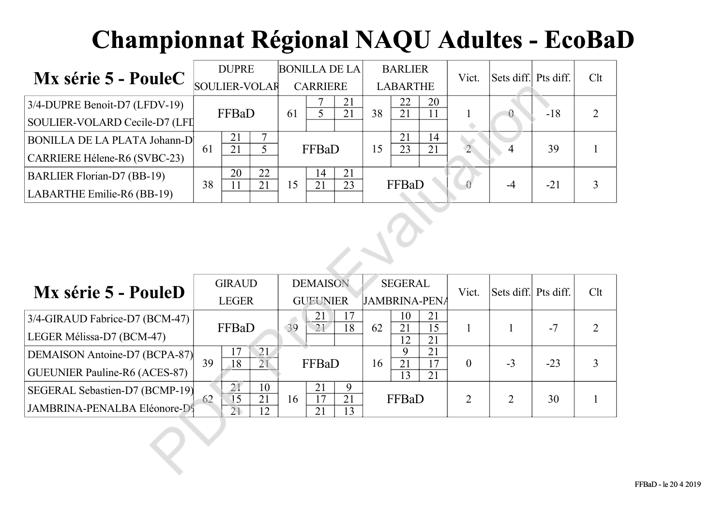| Mx série 5 - PouleC                 | <b>DUPRE</b> |                      |    | <b>BONILLA DE LA</b> |       |    | <b>BARLIER</b>  |       |    | Vict.        | Sets diff. Pts diff. |       | Clt |
|-------------------------------------|--------------|----------------------|----|----------------------|-------|----|-----------------|-------|----|--------------|----------------------|-------|-----|
|                                     |              | <b>SOULIER-VOLAR</b> |    | <b>CARRIERE</b>      |       |    | <b>LABARTHE</b> |       |    |              |                      |       |     |
| $3/4$ -DUPRE Benoit-D7 (LFDV-19)    |              | FFBaD                |    |                      |       | 21 |                 | 22    | 20 |              |                      | $-18$ |     |
| SOULIER-VOLARD Cecile-D7 (LFI       |              |                      |    |                      |       | 21 | 38              | 21    | 11 |              |                      |       |     |
| <b>BONILLA DE LA PLATA Johann-D</b> |              | 21                   |    |                      |       |    | 15              | 21    | 14 |              |                      |       |     |
| CARRIERE Hélene-R6 (SVBC-23)        | 61           | 21                   |    |                      | FFBaD |    |                 | 23    | 21 | $\mathbf{2}$ |                      | 39    |     |
| <b>BARLIER Florian-D7 (BB-19)</b>   |              | 20                   | 22 |                      | 14    | 21 |                 |       |    |              |                      |       |     |
| LABARTHE Emilie-R6 (BB-19)          | 38           |                      | 21 | .5                   | 21    | 23 |                 | FFBaD |    |              | -4                   | $-21$ |     |

| TITTE DATTA A<br>$\blacksquare$     |    | <b>SOULIER-VOLAR</b>  |                       | <b>CARRIERE</b> |                       |                | <b>LABARTHE</b>      |                       |                       |                      |                |                |                |
|-------------------------------------|----|-----------------------|-----------------------|-----------------|-----------------------|----------------|----------------------|-----------------------|-----------------------|----------------------|----------------|----------------|----------------|
| 3/4-DUPRE Benoit-D7 (LFDV-19)       |    | FFBaD                 |                       | 61              | $\overline{5}$        | 21<br>21       | 38                   | 22<br>$\overline{21}$ | 20<br>$\overline{11}$ |                      | $\theta$       | $-18$          | $\overline{2}$ |
| SOULIER-VOLARD Cecile-D7 (LFI       |    |                       |                       |                 |                       |                |                      |                       |                       |                      |                |                |                |
| <b>BONILLA DE LA PLATA Johann-D</b> | 61 | 21<br>$\overline{21}$ | 7<br>$\overline{5}$   |                 | FFBaD                 |                | 15                   | 21<br>$\overline{23}$ | 14<br>$\overline{21}$ | $\sqrt{2}$           | $\overline{4}$ | 39             | $\mathbf{1}$   |
| CARRIERE Hélene-R6 (SVBC-23)        |    |                       |                       |                 |                       |                |                      |                       |                       |                      |                |                |                |
| BARLIER Florian-D7 (BB-19)          | 38 | 20<br>11              | 22<br>21              | 15              | 14<br>$\overline{21}$ | 21<br>23       | FFBaD                |                       |                       | $-4$                 | $-21$          | $\overline{3}$ |                |
| LABARTHE Emilie-R6 (BB-19)          |    |                       |                       |                 |                       |                |                      |                       |                       |                      |                |                |                |
|                                     |    |                       |                       |                 |                       |                |                      |                       |                       |                      |                |                |                |
| Mx série 5 - PouleD                 |    | <b>GIRAUD</b>         |                       | <b>DEMAISON</b> |                       | <b>SEGERAL</b> |                      |                       | Vict.                 | Sets diff. Pts diff. |                | Clt            |                |
|                                     |    | <b>LEGER</b>          |                       | <b>GUEUNIER</b> |                       |                | <b>JAMBRINA-PENA</b> |                       |                       |                      |                |                |                |
| 3/4-GIRAUD Fabrice-D7 (BCM-47)      |    | FFBaD                 |                       | 39              | 21<br>17<br>21'<br>18 |                | 62                   | 10<br>$\overline{21}$ | 21<br>15              | $\mathbf{1}$         | $\mathbf{1}$   | $-7$           | 2              |
| LEGER Mélissa-D7 (BCM-47)           |    |                       |                       |                 |                       |                |                      | 12                    | $\overline{21}$       |                      |                |                |                |
| DEMAISON Antoine-D7 (BCPA-87)       | 39 | 17<br>$\overline{18}$ | 21<br>$\overline{21}$ |                 | FFBaD                 |                | 16                   | 9<br>21               | 21<br>17              | $\boldsymbol{0}$     | $-3$           | $-23$          | $\overline{3}$ |
| GUEUNIER Pauline-R6 (ACES-87)       |    |                       |                       |                 |                       |                |                      | $\overline{13}$       | $\overline{21}$       |                      |                |                |                |
| SEGERAL Sebastien-D7 (BCMP-19)      | 62 | $\overline{21}$<br>15 | 10<br>21              | 16              | 21<br>17              | 9<br>21        |                      | FFBaD                 |                       | $\overline{2}$       | $\overline{2}$ | 30             | 1              |
| JAMBRINA-PENALBA Eléonore-D9        |    | $\overline{21}$       | 12                    |                 | 21                    | 13             |                      |                       |                       |                      |                |                |                |
|                                     |    |                       |                       |                 |                       |                |                      |                       |                       |                      |                |                |                |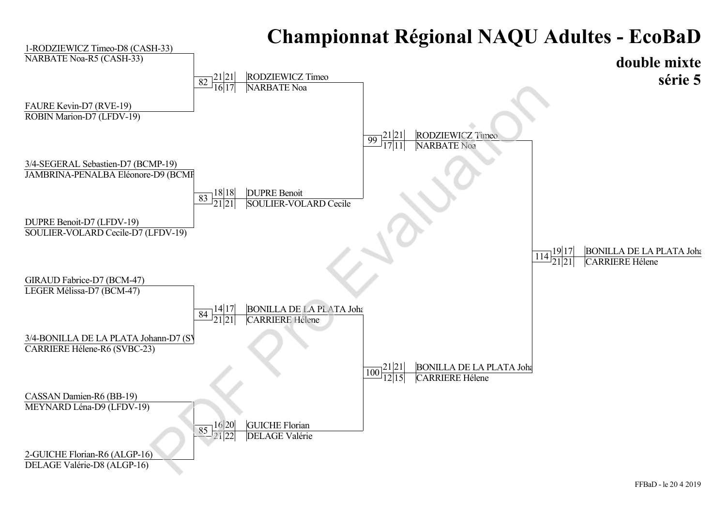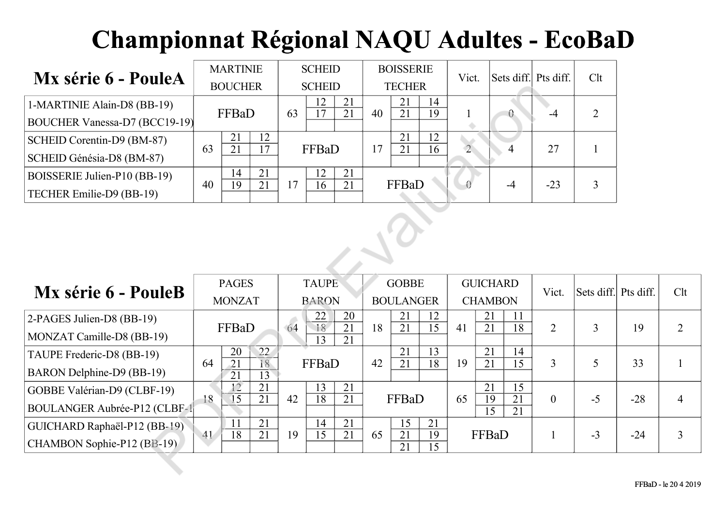| Mx série 6 - PouleA                  |                | <b>MARTINIE</b> |          |                | <b>SCHEID</b> |          |               | <b>BOISSERIE</b> |          |              | Sets diff. Pts diff. |       | Clt |
|--------------------------------------|----------------|-----------------|----------|----------------|---------------|----------|---------------|------------------|----------|--------------|----------------------|-------|-----|
|                                      | <b>BOUCHER</b> |                 |          | <b>SCHEID</b>  |               |          | <b>TECHER</b> |                  |          | Vict.        |                      |       |     |
| 1-MARTINIE Alain-D8 (BB-19)          |                | FFBaD           |          |                | 12            | 21<br>21 | 40            | 21<br>21         | 14<br>19 |              |                      |       |     |
| <b>BOUCHER Vanessa-D7 (BCC19-19)</b> |                |                 |          |                |               |          |               |                  |          |              | 0.                   |       |     |
| SCHEID Corentin-D9 (BM-87)           | 63             | 21              | 12<br>17 |                |               | 21<br>17 |               | 12               |          |              | 27                   |       |     |
| SCHEID Génésia-D8 (BM-87)            |                | 21              |          | FFBaD          |               |          |               | 21               | 16       | $\mathbf{2}$ |                      |       |     |
| BOISSERIE Julien-P10 (BB-19)         |                | 14              | 21       |                | 12            | 21       |               |                  |          |              |                      |       |     |
| TECHER Emilie-D9 (BB-19)             | 40             | 19              | 21       | $\overline{7}$ | 16            | 21       |               | FFBaD            |          |              | -4                   | $-23$ |     |

|                                      | <b>BOUCHER</b>                                                    | <b>SCHEID</b>                                                     | <b>TECHER</b>                                  |                                                      |                |                      |       |                |  |  |  |  |  |  |
|--------------------------------------|-------------------------------------------------------------------|-------------------------------------------------------------------|------------------------------------------------|------------------------------------------------------|----------------|----------------------|-------|----------------|--|--|--|--|--|--|
| 1-MARTINIE Alain-D8 (BB-19)          | FFBaD                                                             | 12<br>21<br>$\overline{21}$<br>63<br>17                           | 21<br>14<br>$\overline{21}$<br>19<br>40        | $\theta$                                             | $-4$           | $\overline{2}$       |       |                |  |  |  |  |  |  |
| BOUCHER Vanessa-D7 (BCC19-19)        |                                                                   |                                                                   |                                                |                                                      |                |                      |       |                |  |  |  |  |  |  |
| SCHEID Corentin-D9 (BM-87)           | 21<br>12<br>$\overline{21}$<br>63<br>17                           | FFBaD                                                             | 21<br>12<br>$\overline{21}$<br>17<br>16        | $\overline{2}$<br>$\overline{4}$                     | 27             | $\mathbf{1}$         |       |                |  |  |  |  |  |  |
| SCHEID Génésia-D8 (BM-87)            |                                                                   |                                                                   |                                                |                                                      |                |                      |       |                |  |  |  |  |  |  |
| BOISSERIE Julien-P10 (BB-19)         | 21<br>14<br>19<br>21<br>40                                        | 21<br>12<br>21<br>17<br>16                                        | FFBaD                                          | $-4$                                                 | $-23$          | 3                    |       |                |  |  |  |  |  |  |
| TECHER Emilie-D9 (BB-19)             |                                                                   |                                                                   |                                                |                                                      |                |                      |       |                |  |  |  |  |  |  |
|                                      |                                                                   |                                                                   |                                                |                                                      |                |                      |       |                |  |  |  |  |  |  |
| Mx série 6 - PouleB                  | <b>PAGES</b>                                                      | <b>TAUPE</b>                                                      | <b>GOBBE</b>                                   | <b>GUICHARD</b>                                      | Vict.          | Sets diff. Pts diff. |       | Clt            |  |  |  |  |  |  |
|                                      | <b>MONZAT</b>                                                     | <b>BARON</b>                                                      | <b>BOULANGER</b>                               | <b>CHAMBON</b>                                       |                |                      |       |                |  |  |  |  |  |  |
| 2-PAGES Julien-D8 (BB-19)            | FFBaD                                                             | 20<br>22<br>$\overline{18}$<br>$\overline{21}$<br>64              | 21<br>12<br>$\overline{21}$<br>18<br>15        | 21<br>11<br>21<br>18<br>41                           | $\overline{2}$ | 3                    | 19    | $\overline{2}$ |  |  |  |  |  |  |
| MONZAT Camille-D8 (BB-19)            |                                                                   | 21<br>13                                                          |                                                |                                                      |                |                      |       |                |  |  |  |  |  |  |
| TAUPE Frederic-D8 (BB-19)            | 20<br>22<br>$\overline{21}$<br>18<br>64                           | FFBaD                                                             | 21<br>13<br>42<br>$\overline{21}$<br>18        | 21<br>14<br>$\overline{21}$<br>$\overline{15}$<br>19 | $\overline{3}$ | 5                    | 33    | $\mathbf{1}$   |  |  |  |  |  |  |
| BARON Delphine-D9 (BB-19)            | $\overline{21}$<br>$\overline{13}$                                |                                                                   |                                                |                                                      |                |                      |       |                |  |  |  |  |  |  |
| GOBBE Valérian-D9 (CLBF-19)          | $\overline{12}$<br>21<br>$\overline{15}$<br>$\overline{21}$<br>18 | 13<br>21<br>$\overline{21}$<br>18<br>42                           | FFBaD                                          | 21<br>15<br>$\overline{21}$<br>19<br>65              | $\overline{0}$ | $-5$                 | $-28$ | $\overline{4}$ |  |  |  |  |  |  |
| <b>BOULANGER Aubrée-P12 (CLBF-1)</b> |                                                                   |                                                                   |                                                | $\overline{15}$<br>21                                |                |                      |       |                |  |  |  |  |  |  |
| GUICHARD Raphaël-P12 (BB-19)         | $\overline{21}$<br>11<br>$\overline{18}$<br>$\overline{21}$       | $\overline{21}$<br>14<br>$\overline{21}$<br>$\overline{15}$<br>19 | $\overline{15}$<br>21<br>$\overline{21}$<br>65 |                                                      |                | $-3$                 |       | $\overline{3}$ |  |  |  |  |  |  |
| CHAMBON Sophie-P12 (BB-19)           | $ 41\rangle$                                                      |                                                                   | 19<br>$\overline{15}$<br>$\overline{21}$       | FFBaD                                                |                |                      | $-24$ |                |  |  |  |  |  |  |
|                                      |                                                                   |                                                                   |                                                |                                                      |                |                      |       |                |  |  |  |  |  |  |